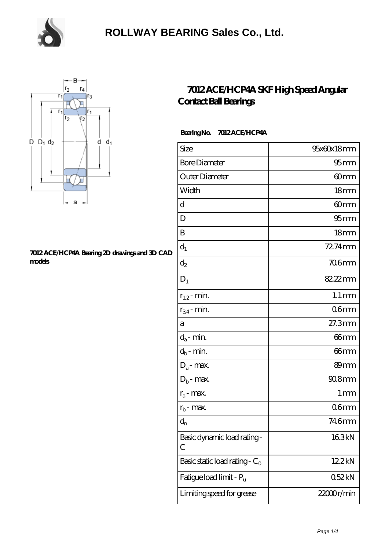

### **[ROLLWAY BEARING Sales Co., Ltd.](https://m.chooseyourcufflinks.com)**



#### **[7012 ACE/HCP4A Bearing 2D drawings and 3D CAD](https://m.chooseyourcufflinks.com/pic-938522.html) [models](https://m.chooseyourcufflinks.com/pic-938522.html)**

### **[7012 ACE/HCP4A SKF High Speed Angular](https://m.chooseyourcufflinks.com/skf-bearing/7012-ace-hcp4a.html) [Contact Ball Bearings](https://m.chooseyourcufflinks.com/skf-bearing/7012-ace-hcp4a.html)**

#### **Bearing No. 7012 ACE/HCP4A**

| Size                             | 95x60x18mm          |
|----------------------------------|---------------------|
| <b>Bore Diameter</b>             | $95$ <sub>mm</sub>  |
| Outer Diameter                   | 60mm                |
| Width                            | 18 <sub>mm</sub>    |
| d                                | 60 <sub>mm</sub>    |
| D                                | 95 <sub>mm</sub>    |
| B                                | 18 <sub>mm</sub>    |
| $d_1$                            | 72.74mm             |
| $\mathrm{d}_2$                   | $706$ mm            |
| $D_1$                            | 82.22mm             |
| $r_{1,2}$ - min.                 | $1.1 \,\mathrm{mm}$ |
| $r_{34}$ - min.                  | 06 <sub>mm</sub>    |
| а                                | 27.3mm              |
| $d_a$ - min.                     | 66 <sub>mm</sub>    |
| $d_b$ - min.                     | 66mm                |
| $D_a$ - max.                     | 89mm                |
| $D_b$ - max.                     | $908$ mm            |
| $r_a$ - max.                     | 1 mm                |
| $r_{\rm b}$ - max.               | 06 <sub>mm</sub>    |
| $d_n$                            | 746mm               |
| Basic dynamic load rating-<br>С  | 163kN               |
| Basic static load rating - $C_0$ | 122kN               |
| Fatigue load limit - Pu          | 052kN               |
| Limiting speed for grease        | 22000r/min          |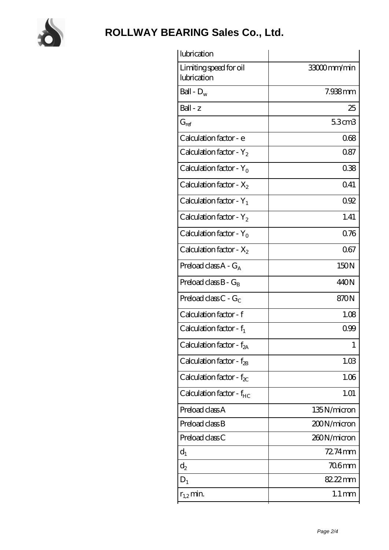

# **[ROLLWAY BEARING Sales Co., Ltd.](https://m.chooseyourcufflinks.com)**

| lubrication                           |                     |
|---------------------------------------|---------------------|
| Limiting speed for oil<br>lubrication | 33000mm/min         |
| Ball - $D_w$                          | 7.938mm             |
| $Ball - z$                            | 25                  |
| $G_{ref}$                             | 5.3cm3              |
| Calculation factor - e                | 068                 |
| Calculation factor - $Y_2$            | 0.87                |
| Calculation factor - $Y_0$            | 038                 |
| Calculation factor - $X_2$            | 041                 |
| Calculation factor - $Y_1$            | 092                 |
| Calculation factor - $Y_2$            | 1.41                |
| Calculation factor - $Y_0$            | 0.76                |
| Calculation factor - $X_2$            | 067                 |
| Preload class $A - G_A$               | 150N                |
| Preload class $B - G_B$               | 440N                |
| Preload class $C - G_C$               | 870N                |
| Calculation factor - f                | 1.08                |
| Calculation factor - $f_1$            | 099                 |
| Calculation factor - f <sub>2A</sub>  | 1                   |
| Calculation factor - $f_{\rm 2B}$     | 1.03                |
| Calculation factor - $f_{\chi}$       | 1.06                |
| Calculation factor - $f_{HC}$         | 1.01                |
| Preload class A                       | 135N/micron         |
| Preload class B                       | 200N/micron         |
| Preload class C                       | 260N/micron         |
| $d_1$                                 | 72.74mm             |
| $d_2$                                 | 706mm               |
| $D_1$                                 | 82.22mm             |
| $r_{1,2}$ min.                        | $1.1 \,\mathrm{mm}$ |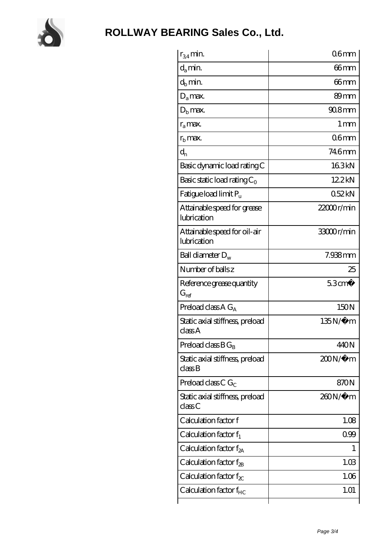

| $r_{34}$ min.                               | 06 <sub>mm</sub> |
|---------------------------------------------|------------------|
| $d_a$ min.                                  | 66mm             |
| $d_h$ min.                                  | 66mm             |
| $D_a$ max.                                  | 89mm             |
| $Db$ max.                                   | 908mm            |
| $r_a$ max.                                  | 1 <sub>mm</sub>  |
| $rh$ max.                                   | 06mm             |
| $d_{n}$                                     | 746mm            |
| Basic dynamic load rating C                 | 163kN            |
| Basic static load rating $C_0$              | 122kN            |
| Fatigue load limit Pu                       | 052kN            |
| Attainable speed for grease<br>lubrication  | $22000$ r/min    |
| Attainable speed for oil-air<br>lubrication | 33000r/min       |
| Ball diameter $D_w$                         | $7.938$ mm       |
| Number of balls z                           | 25               |
|                                             | $53 \text{cm}^3$ |
| Reference grease quantity<br>$G_{ref}$      |                  |
| Preload class A $G_A$                       | 150N             |
| Static axial stiffness, preload<br>classA   | 135N/μ m         |
| Preload class $BG_B$                        | 440N             |
| Static axial stiffness, preload<br>classB   | $200N/\mu$ m     |
| Preload class C $G_C$                       | 870N             |
| Static axial stiffness, preload<br>classC   | 260N/μ m         |
| Calculation factor f                        | 1.08             |
| Calculation factor $f_1$                    | 099              |
| Calculation factor $f_{2A}$                 |                  |
| Calculation factor $f_{2B}$                 | 1.03             |
| Calculation factor $f_{\chi}$               | 1.06             |
| Calculation factor $f_{HC}$                 | 1.01             |